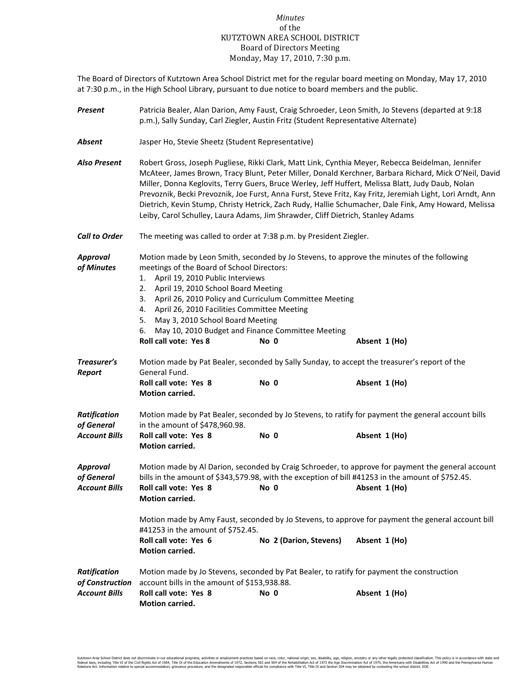## *Minutes* of the KUTZTOWN AREA SCHOOL DISTRICT Board of Directors Meeting Monday, May 17, 2010, 7:30 p.m.

The Board of Directors of Kutztown Area School District met for the regular board meeting on Monday, May 17, 2010 at 7:30 p.m., in the High School Library, pursuant to due notice to board members and the public.

| Present                                        | Patricia Bealer, Alan Darion, Amy Faust, Craig Schroeder, Leon Smith, Jo Stevens (departed at 9:18<br>p.m.), Sally Sunday, Carl Ziegler, Austin Fritz (Student Representative Alternate)                                                                                                                                                                                                                                                                                                                                                                                                                                 |                                                                                                                        |                                                                                                             |  |  |  |
|------------------------------------------------|--------------------------------------------------------------------------------------------------------------------------------------------------------------------------------------------------------------------------------------------------------------------------------------------------------------------------------------------------------------------------------------------------------------------------------------------------------------------------------------------------------------------------------------------------------------------------------------------------------------------------|------------------------------------------------------------------------------------------------------------------------|-------------------------------------------------------------------------------------------------------------|--|--|--|
| Absent                                         | Jasper Ho, Stevie Sheetz (Student Representative)                                                                                                                                                                                                                                                                                                                                                                                                                                                                                                                                                                        |                                                                                                                        |                                                                                                             |  |  |  |
| <b>Also Present</b>                            | Robert Gross, Joseph Pugliese, Rikki Clark, Matt Link, Cynthia Meyer, Rebecca Beidelman, Jennifer<br>McAteer, James Brown, Tracy Blunt, Peter Miller, Donald Kerchner, Barbara Richard, Mick O'Neil, David<br>Miller, Donna Keglovits, Terry Guers, Bruce Werley, Jeff Huffert, Melissa Blatt, Judy Daub, Nolan<br>Prevoznik, Becki Prevoznik, Joe Furst, Anna Furst, Steve Fritz, Kay Fritz, Jeremiah Light, Lori Arndt, Ann<br>Dietrich, Kevin Stump, Christy Hetrick, Zach Rudy, Hallie Schumacher, Dale Fink, Amy Howard, Melissa<br>Leiby, Carol Schulley, Laura Adams, Jim Shrawder, Cliff Dietrich, Stanley Adams |                                                                                                                        |                                                                                                             |  |  |  |
| <b>Call to Order</b>                           | The meeting was called to order at 7:38 p.m. by President Ziegler.                                                                                                                                                                                                                                                                                                                                                                                                                                                                                                                                                       |                                                                                                                        |                                                                                                             |  |  |  |
| <b>Approval</b><br>of Minutes                  | meetings of the Board of School Directors:<br>1. April 19, 2010 Public Interviews<br>2. April 19, 2010 School Board Meeting<br>4. April 26, 2010 Facilities Committee Meeting<br>May 3, 2010 School Board Meeting<br>5.<br>6.<br><b>Roll call vote: Yes 8</b>                                                                                                                                                                                                                                                                                                                                                            | 3. April 26, 2010 Policy and Curriculum Committee Meeting<br>May 10, 2010 Budget and Finance Committee Meeting<br>No 0 | Motion made by Leon Smith, seconded by Jo Stevens, to approve the minutes of the following<br>Absent 1 (Ho) |  |  |  |
| Treasurer's<br><b>Report</b>                   | Motion made by Pat Bealer, seconded by Sally Sunday, to accept the treasurer's report of the<br>General Fund.                                                                                                                                                                                                                                                                                                                                                                                                                                                                                                            |                                                                                                                        |                                                                                                             |  |  |  |
|                                                | Roll call vote: Yes 8<br>Motion carried.                                                                                                                                                                                                                                                                                                                                                                                                                                                                                                                                                                                 | No 0                                                                                                                   | Absent 1 (Ho)                                                                                               |  |  |  |
| <b>Ratification</b><br>of General              | Motion made by Pat Bealer, seconded by Jo Stevens, to ratify for payment the general account bills<br>in the amount of \$478,960.98.                                                                                                                                                                                                                                                                                                                                                                                                                                                                                     |                                                                                                                        |                                                                                                             |  |  |  |
| <b>Account Bills</b>                           | Roll call vote: Yes 8<br>Motion carried.                                                                                                                                                                                                                                                                                                                                                                                                                                                                                                                                                                                 | No 0                                                                                                                   | Absent 1 (Ho)                                                                                               |  |  |  |
| Approval<br>of General<br><b>Account Bills</b> | Motion made by Al Darion, seconded by Craig Schroeder, to approve for payment the general account<br>bills in the amount of \$343,579.98, with the exception of bill #41253 in the amount of \$752.45.<br>Roll call vote: Yes 8 No 0<br>Absent 1 (Ho)<br><b>Motion carried.</b><br>Motion made by Amy Faust, seconded by Jo Stevens, to approve for payment the general account bill<br>#41253 in the amount of \$752.45.                                                                                                                                                                                                |                                                                                                                        |                                                                                                             |  |  |  |
|                                                | Roll call vote: Yes 6<br>Motion carried.                                                                                                                                                                                                                                                                                                                                                                                                                                                                                                                                                                                 | No 2 (Darion, Stevens)                                                                                                 | Absent 1 (Ho)                                                                                               |  |  |  |
| <b>Ratification</b><br>of Construction         | Motion made by Jo Stevens, seconded by Pat Bealer, to ratify for payment the construction<br>account bills in the amount of \$153,938.88.                                                                                                                                                                                                                                                                                                                                                                                                                                                                                |                                                                                                                        |                                                                                                             |  |  |  |
| <b>Account Bills</b>                           | Roll call vote: Yes 8<br>Motion carried.                                                                                                                                                                                                                                                                                                                                                                                                                                                                                                                                                                                 | No 0                                                                                                                   | Absent 1 (Ho)                                                                                               |  |  |  |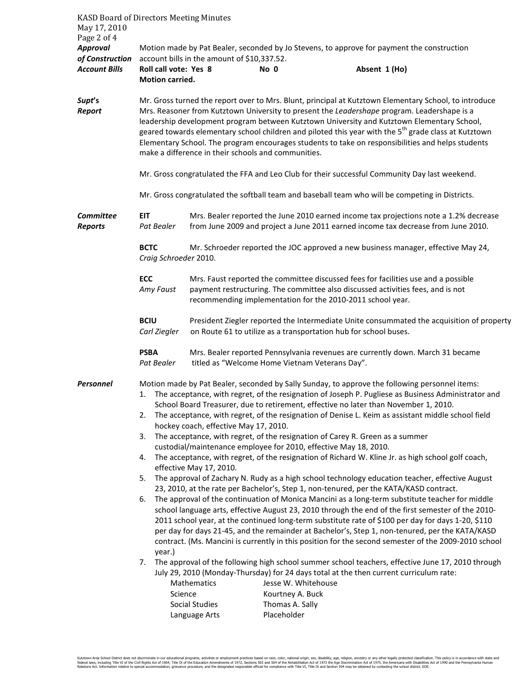| <b>KASD Board of Directors Meeting Minutes</b><br>May 17, 2010 |                                                                                                                                                                                                                                                                                                                                                                                                                                                                                                                                                                                                                        |                                                                                                                                                                                                                                     |                                                |                                                                                                                                                                                                                                                                                                                                                                                                     |  |  |  |  |
|----------------------------------------------------------------|------------------------------------------------------------------------------------------------------------------------------------------------------------------------------------------------------------------------------------------------------------------------------------------------------------------------------------------------------------------------------------------------------------------------------------------------------------------------------------------------------------------------------------------------------------------------------------------------------------------------|-------------------------------------------------------------------------------------------------------------------------------------------------------------------------------------------------------------------------------------|------------------------------------------------|-----------------------------------------------------------------------------------------------------------------------------------------------------------------------------------------------------------------------------------------------------------------------------------------------------------------------------------------------------------------------------------------------------|--|--|--|--|
| Page 2 of 4                                                    |                                                                                                                                                                                                                                                                                                                                                                                                                                                                                                                                                                                                                        |                                                                                                                                                                                                                                     |                                                |                                                                                                                                                                                                                                                                                                                                                                                                     |  |  |  |  |
| <b>Approval</b>                                                | Motion made by Pat Bealer, seconded by Jo Stevens, to approve for payment the construction<br>account bills in the amount of \$10,337.52.                                                                                                                                                                                                                                                                                                                                                                                                                                                                              |                                                                                                                                                                                                                                     |                                                |                                                                                                                                                                                                                                                                                                                                                                                                     |  |  |  |  |
| of Construction<br><b>Account Bills</b>                        | Roll call vote: Yes 8                                                                                                                                                                                                                                                                                                                                                                                                                                                                                                                                                                                                  |                                                                                                                                                                                                                                     | No 0                                           | Absent 1 (Ho)                                                                                                                                                                                                                                                                                                                                                                                       |  |  |  |  |
|                                                                | Motion carried.                                                                                                                                                                                                                                                                                                                                                                                                                                                                                                                                                                                                        |                                                                                                                                                                                                                                     |                                                |                                                                                                                                                                                                                                                                                                                                                                                                     |  |  |  |  |
| Supt's<br>Report                                               | Mr. Gross turned the report over to Mrs. Blunt, principal at Kutztown Elementary School, to introduce<br>Mrs. Reasoner from Kutztown University to present the Leadershape program. Leadershape is a<br>leadership development program between Kutztown University and Kutztown Elementary School,<br>geared towards elementary school children and piloted this year with the $5th$ grade class at Kutztown<br>Elementary School. The program encourages students to take on responsibilities and helps students<br>make a difference in their schools and communities.                                               |                                                                                                                                                                                                                                     |                                                |                                                                                                                                                                                                                                                                                                                                                                                                     |  |  |  |  |
|                                                                | Mr. Gross congratulated the FFA and Leo Club for their successful Community Day last weekend.                                                                                                                                                                                                                                                                                                                                                                                                                                                                                                                          |                                                                                                                                                                                                                                     |                                                |                                                                                                                                                                                                                                                                                                                                                                                                     |  |  |  |  |
|                                                                | Mr. Gross congratulated the softball team and baseball team who will be competing in Districts.                                                                                                                                                                                                                                                                                                                                                                                                                                                                                                                        |                                                                                                                                                                                                                                     |                                                |                                                                                                                                                                                                                                                                                                                                                                                                     |  |  |  |  |
| <b>Committee</b><br><b>Reports</b>                             | Mrs. Bealer reported the June 2010 earned income tax projections note a 1.2% decrease<br>EIT<br>from June 2009 and project a June 2011 earned income tax decrease from June 2010.<br>Pat Bealer                                                                                                                                                                                                                                                                                                                                                                                                                        |                                                                                                                                                                                                                                     |                                                |                                                                                                                                                                                                                                                                                                                                                                                                     |  |  |  |  |
|                                                                | <b>BCTC</b><br>Mr. Schroeder reported the JOC approved a new business manager, effective May 24,<br>Craig Schroeder 2010.                                                                                                                                                                                                                                                                                                                                                                                                                                                                                              |                                                                                                                                                                                                                                     |                                                |                                                                                                                                                                                                                                                                                                                                                                                                     |  |  |  |  |
|                                                                | ECC<br>Amy Faust                                                                                                                                                                                                                                                                                                                                                                                                                                                                                                                                                                                                       | Mrs. Faust reported the committee discussed fees for facilities use and a possible<br>payment restructuring. The committee also discussed activities fees, and is not<br>recommending implementation for the 2010-2011 school year. |                                                |                                                                                                                                                                                                                                                                                                                                                                                                     |  |  |  |  |
|                                                                | <b>BCIU</b><br>Carl Ziegler                                                                                                                                                                                                                                                                                                                                                                                                                                                                                                                                                                                            |                                                                                                                                                                                                                                     |                                                | President Ziegler reported the Intermediate Unite consummated the acquisition of property<br>on Route 61 to utilize as a transportation hub for school buses.                                                                                                                                                                                                                                       |  |  |  |  |
|                                                                | <b>PSBA</b><br>Pat Bealer                                                                                                                                                                                                                                                                                                                                                                                                                                                                                                                                                                                              |                                                                                                                                                                                                                                     | titled as "Welcome Home Vietnam Veterans Day". | Mrs. Bealer reported Pennsylvania revenues are currently down. March 31 became                                                                                                                                                                                                                                                                                                                      |  |  |  |  |
| <b>Personnel</b>                                               | 1.<br>2.                                                                                                                                                                                                                                                                                                                                                                                                                                                                                                                                                                                                               | hockey coach, effective May 17, 2010.                                                                                                                                                                                               |                                                | Motion made by Pat Bealer, seconded by Sally Sunday, to approve the following personnel items:<br>The acceptance, with regret, of the resignation of Joseph P. Pugliese as Business Administrator and<br>School Board Treasurer, due to retirement, effective no later than November 1, 2010.<br>The acceptance, with regret, of the resignation of Denise L. Keim as assistant middle school field |  |  |  |  |
|                                                                | The acceptance, with regret, of the resignation of Carey R. Green as a summer<br>3.<br>custodial/maintenance employee for 2010, effective May 18, 2010.<br>The acceptance, with regret, of the resignation of Richard W. Kline Jr. as high school golf coach,<br>4.                                                                                                                                                                                                                                                                                                                                                    |                                                                                                                                                                                                                                     |                                                |                                                                                                                                                                                                                                                                                                                                                                                                     |  |  |  |  |
|                                                                | effective May 17, 2010.<br>The approval of Zachary N. Rudy as a high school technology education teacher, effective August<br>5.                                                                                                                                                                                                                                                                                                                                                                                                                                                                                       |                                                                                                                                                                                                                                     |                                                |                                                                                                                                                                                                                                                                                                                                                                                                     |  |  |  |  |
|                                                                | 23, 2010, at the rate per Bachelor's, Step 1, non-tenured, per the KATA/KASD contract.<br>The approval of the continuation of Monica Mancini as a long-term substitute teacher for middle<br>6.<br>school language arts, effective August 23, 2010 through the end of the first semester of the 2010-<br>2011 school year, at the continued long-term substitute rate of \$100 per day for days 1-20, \$110<br>per day for days 21-45, and the remainder at Bachelor's, Step 1, non-tenured, per the KATA/KASD<br>contract. (Ms. Mancini is currently in this position for the second semester of the 2009-2010 school |                                                                                                                                                                                                                                     |                                                |                                                                                                                                                                                                                                                                                                                                                                                                     |  |  |  |  |
|                                                                | year.)<br>7. The approval of the following high school summer school teachers, effective June 17, 2010 through<br>July 29, 2010 (Monday-Thursday) for 24 days total at the then current curriculum rate:<br><b>Mathematics</b><br>Jesse W. Whitehouse<br>Kourtney A. Buck<br>Science<br>Thomas A. Sally<br>Social Studies<br>Placeholder<br>Language Arts                                                                                                                                                                                                                                                              |                                                                                                                                                                                                                                     |                                                |                                                                                                                                                                                                                                                                                                                                                                                                     |  |  |  |  |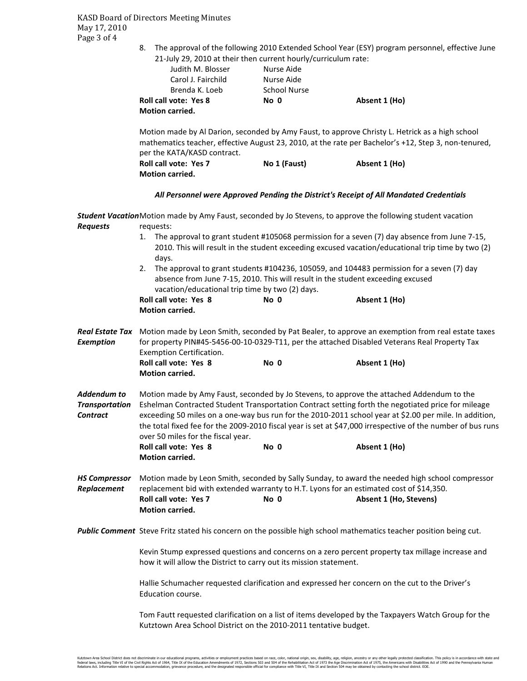KASD Board of Directors Meeting Minutes May 17, 2010 Page 3 of 4

> 8. The approval of the following 2010 Extended School Year (ESY) program personnel, effective June 21-July 29, 2010 at their then current hourly/curriculum rate:

| Judith M. Blosser            | Nurse Aide          |               |  |  |  |  |
|------------------------------|---------------------|---------------|--|--|--|--|
| Carol J. Fairchild           | Nurse Aide          |               |  |  |  |  |
| Brenda K. Loeb               | <b>School Nurse</b> |               |  |  |  |  |
| <b>Roll call vote: Yes 8</b> | No 0                | Absent 1 (Ho) |  |  |  |  |
| <b>Motion carried.</b>       |                     |               |  |  |  |  |

Motion made by Al Darion, seconded by Amy Faust, to approve Christy L. Hetrick as a high school mathematics teacher, effective August 23, 2010, at the rate per Bachelor's +12, Step 3, non-tenured, per the KATA/KASD contract.

| <b>Roll call vote: Yes 7</b> | No 1 (Faust) | Absent 1 (Ho) |
|------------------------------|--------------|---------------|
| <b>Motion carried.</b>       |              |               |

## *All Personnel were Approved Pending the District's Receipt of All Mandated Credentials*

*Student Vacation* Motion made by Amy Faust, seconded by Jo Stevens, to approve the following student vacation *Requests* requests: 1. The approval to grant student #105068 permission for a seven (7) day absence from June 7-15, 2010. This will result in the student exceeding excused vacation/educational trip time by two (2) days. 2. The approval to grant students #104236, 105059, and 104483 permission for a seven (7) day absence from June 7-15, 2010. This will result in the student exceeding excused vacation/educational trip time by two (2) days. **Roll call vote: Yes 8 No 0 Absent 1 (Ho) Motion carried.**  *Real Estate Tax* Motion made by Leon Smith, seconded by Pat Bealer, to approve an exemption from real estate taxes *Exemption*for property PIN#45-5456-00-10-0329-T11, per the attached Disabled Veterans Real Property Tax Exemption Certification. Roll call vote: Yes 8 No 0 Absent 1 (Ho)  **Motion carried.**  *Addendum to* Motion made by Amy Faust, seconded by Jo Stevens, to approve the attached Addendum to the *Transportation* Eshelman Contracted Student Transportation Contract setting forth the negotiated price for mileage *Contract* exceeding 50 miles on a one-way bus run for the 2010-2011 school year at \$2.00 per mile. In addition, the total fixed fee for the 2009-2010 fiscal year is set at \$47,000 irrespective of the number of bus runs over 50 miles for the fiscal year. **Roll call vote: Yes 8 No 0 Absent 1 (Ho) Motion carried.**  *HS Compressor* Motion made by Leon Smith, seconded by Sally Sunday, to award the needed high school compressor *Replacement* replacement bid with extended warranty to H.T. Lyons for an estimated cost of \$14,350. Roll call vote: Yes 7 No 0 Absent 1 (Ho, Stevens)  **Motion carried.**  *Public Comment* Steve Fritz stated his concern on the possible high school mathematics teacher position being cut. Kevin Stump expressed questions and concerns on a zero percent property tax millage increase and how it will allow the District to carry out its mission statement. Hallie Schumacher requested clarification and expressed her concern on the cut to the Driver's Education course. Tom Fautt requested clarification on a list of items developed by the Taxpayers Watch Group for the Kutztown Area School District on the 2010-2011 tentative budget.